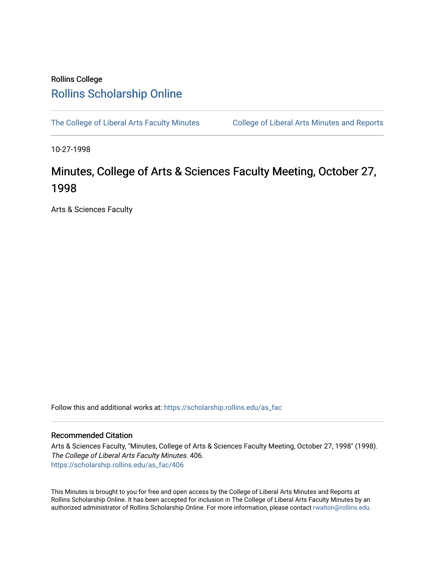## Rollins College [Rollins Scholarship Online](https://scholarship.rollins.edu/)

[The College of Liberal Arts Faculty Minutes](https://scholarship.rollins.edu/as_fac) College of Liberal Arts Minutes and Reports

10-27-1998

# Minutes, College of Arts & Sciences Faculty Meeting, October 27, 1998

Arts & Sciences Faculty

Follow this and additional works at: [https://scholarship.rollins.edu/as\\_fac](https://scholarship.rollins.edu/as_fac?utm_source=scholarship.rollins.edu%2Fas_fac%2F406&utm_medium=PDF&utm_campaign=PDFCoverPages) 

### Recommended Citation

Arts & Sciences Faculty, "Minutes, College of Arts & Sciences Faculty Meeting, October 27, 1998" (1998). The College of Liberal Arts Faculty Minutes. 406. [https://scholarship.rollins.edu/as\\_fac/406](https://scholarship.rollins.edu/as_fac/406?utm_source=scholarship.rollins.edu%2Fas_fac%2F406&utm_medium=PDF&utm_campaign=PDFCoverPages) 

This Minutes is brought to you for free and open access by the College of Liberal Arts Minutes and Reports at Rollins Scholarship Online. It has been accepted for inclusion in The College of Liberal Arts Faculty Minutes by an authorized administrator of Rollins Scholarship Online. For more information, please contact [rwalton@rollins.edu](mailto:rwalton@rollins.edu).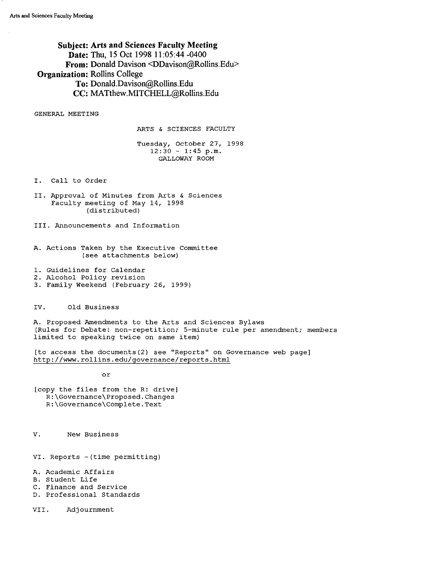**Subject: Arts and Sciences Faculty Meeting Date: Thu, 15 Oct 1998 11:05:44 -0400 From: Donald Davison <DDavison@Rollins.Edu> Organization: Rollins College To: Donald.Davison@Rollins.Edu CC: MATthew.MITCHELL@Rollins.Edu** 

GENERAL MEETING

ARTS & SCIENCES FACULTY

Tuesday, October 27, 1998  $12:30 - 1:45 \text{ p.m.}$ GALLOWAY ROOM

I. Call to Order

II. Approval of Minutes from Arts & Sciences Faculty meeting of May 14, 1998 (distributed)

III. Announcements and Information

- A. Actions Taken by the Executive Committee (see attachments below)
- 1. Guidelines for Calendar
- 2. Alcohol Policy revision
- 3. Family Weekend (February 26, 1999)

IV. Old Business

A. Proposed Amendments to the Arts and Sciences Bylaws (Rules for Debate: non-repetition; 5-minute rule per amendment; members limited to speaking twice on same item)

[to access the documents(2) see "Reports" on Governance web page] http://www.rollins.edu/governance/reports.html

or

[copy the files from the R: drive) R:\Governance\Proposed.Changes R:\Governance\Complete.Text

V. New Business

VI. Reports - (time permitting)

A. Academic Affairs

B. Student Life

- C. Finance and Service
- D. Professional Standards

VII. Adjournment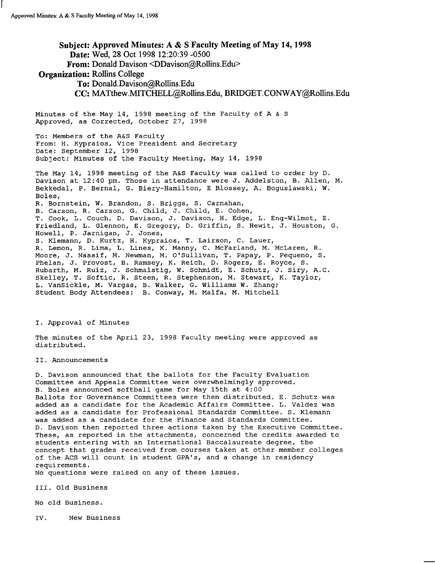r

### **Subject: Approved Minutes: A** & **S Faculty Meeting of May 14, 1998 Date:** Wed, 28 Oct 1998 12:20:39 -0500 **From:** Donald Davison <DDavison@Rollins.Edu> **Organization:** Rollins College **To:** Donald.Davison@Rollins.Edu CC: MATthew.MITCHELL@Rollins.Edu, BRIDGET.CONW AY@Rollins.Edu

Minutes of the May 14, 1998 meeting of the Faculty of A & S Approved, as Corrected, October 27, 1998

To: Members of the A&S Faculty From: H. Kypraios, Vice President and Secretary Date: September 12, 1998 Subject: Minutes of the Faculty Meeting, May 14, 1998

The May 14, 1998 meeting of the A&S Faculty was called to order by D. Davison at 12:40 pm. Those in attendance were J. Addelston, B. Allen, M. Bekkedal, P. Bernal, G. Biery-Hamilton, E Blossey, A. Boguslawski, **W.**  Boles, R. Bornstein, **W.** Brandon, s. Briggs, S. Carnahan, B. Carson, R. Carson, G. Child, J. Child, E. Cohen, T. Cook, L. Couch, D. Davison, J. Davison, H. Edge, L. Eng-Wilmot, E. Friedland, L. Glennon, E. Gregory, D. Griffin, S. Hewit, J. Houston, G. Howell, P. Jarnigan, J. Jones, s. Klemann, D. Kurtz, H. Kypraios, T. Lairson, C. Lauer, R. Lemon, R. Lima, L. Lines, K. Manny, C. McFarland, M. McLaren, R. Moore, J. Nassif, M. Newman, M. O'Sullivan, T. Papay, P. Pequeno, S. Phelan, J. Provost, B. Ramsey, K. Reich, D. Rogers, E. Royce, S. Rubarth, M. Ruiz, J. Schmalstig, W. Schmidt, E. Schutz, J. Siry, A.C. Skelley, T. Softic, R. Steen, R. Stephenson, M. Stewart, K. Taylor, L. Vansickle, **M.** Vargas, B. Walker, G. Williams **W.** Zhang; Student Body Attendees: B. Conway, M. Malfa, M. Mitchell

I. Approval of Minutes

The minutes of the April 23, 1998 Faculty meeting were approved as distributed.

II. Announcements

D. Davison announced that the ballots for the Faculty Evaluation Committee and Appeals Committee were overwhelmingly approved. B. Boles announced softball game for May 15th at 4:00 Ballots for Governance Committees were then distributed. E. Schutz was added as a candidate for the Academic Affairs Committee. L. Valdez was added as a candidate for Professional Standards Committee. S. Klemann was added as a candidate for the Finance and Standards Committee. D. Davison then reported three actions taken by the Executive Committee. These, as reported in the attachments, concerned the credits awarded to students entering with an International Baccalaureate degree, the concept that grades received from courses taken at other member colleges of the ACS will count in student GPA's, and a change in residency requirements.

No questions were raised on any of these issues.

III. Old Business

No old Business.

IV. New Business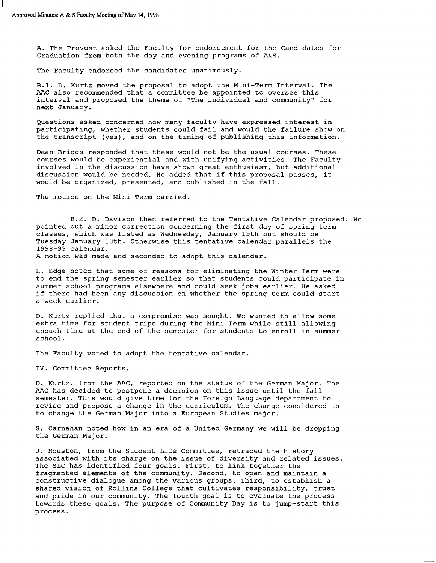A. The Provost asked the Faculty for endorsement for the Candidates for Graduation from both the day and evening programs of A&S.

The Faculty endorsed the candidates unanimously.

B.1. D. Kurtz moved the proposal to adopt the Mini-Term Interval. The AAC also recommended that a committee be appointed to oversee this interval and proposed the theme of "The individual and community" for next January.

Questions asked concerned how many faculty have expressed interest in participating, whether students could fail and would the failure show on the transcript (yes), and on the timing of publishing this information.

Dean Briggs responded that these would not be the usual courses. These courses would be experiential and with unifying activities. The Faculty involved in the discussion have shown great enthusiasm, but additional discussion would be needed. He added that if this proposal passes, it would be organized, presented, and published in the fall.

The motion on the Mini-Term carried.

B.2. D. Davison then referred to the Tentative Calendar proposed. He pointed out a minor correction concerning the first day of spring term classes, which was listed as Wednesday, January 19th but should be Tuesday January 18th. Otherwise this tentative calendar parallels the 1998-99 calendar.

A motion was made and seconded to adopt this calendar.

H. Edge noted that some of reasons for eliminating the Winter Term were to end the spring semester earlier so that students could participate in summer school programs elsewhere and could seek jobs earlier. He asked if there had been any discussion on whether the spring term could start a week earlier.

D. Kurtz replied that a compromise was sought. We wanted to allow some extra time for student trips during the Mini Term while still allowing enough time at the end of the semester for students to enroll in summer school.

The Faculty voted to adopt the tentative calendar.

IV. Committee Reports.

D. Kurtz, from the AAC, reported on the status of the German Major. The AAC has decided to postpone a decision on this issue until the fall semester. This would give time for the Foreign Language department to revise and propose a change in the curriculum. The change considered is to change the German Major into a European Studies major.

S. Carnahan noted how in an era of a United Germany we will be dropping the German Major.

J. Houston, from the Student Life Committee, retraced the history associated with its charge on the issue of diversity and related issues. The SLC has identified four goals. First, to link together the fragmented elements of the community. Second, to open and maintain a constructive dialogue among the various groups. Third, to establish a shared vision of Rollins College that cultivates responsibility, trust and pride in our community. The fourth goal is to evaluate the process towards these goals. The purpose of Community Day is to jump-start this process.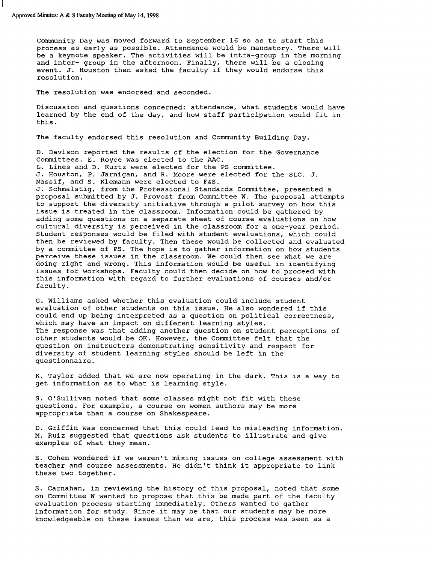Community Day was moved forward to September 16 so as to start this process as early as possible. Attendance would be mandatory. There will be a keynote speaker. The activities will be intra-group in the morning and inter- group in the afternoon. Finally, there will be a closing event. J. Houston then asked the faculty if they would endorse this resolution.

The resolution was endorsed and seconded.

Discussion and questions concerned: attendance, what students would have learned by the end of the day, and how staff participation would fit in this.

The faculty endorsed this resolution and Community Building Day.

D. Davison reported the results of the election for the Governance Committees. E. Royce was elected to the AAC. L. Lines and D. Kurtz were elected for the PS committee. J. Houston, P. Jarnigan, and R. Moore were elected for the SLC. J. Nassif, and S. Klemann were elected to F&S. J. Schmalstig, from the Professional Standards Committee, presented a proposal submitted by J. Provost from Committee W. The proposal attempts to support the diversity initiative through a pilot survey on how this issue is treated in the classroom. Information could be gathered by adding some questions on a separate sheet of course evaluations on how cultural diversity is perceived in the classroom for a one-year period. Student responses would be filed with student evaluations, which could then be reviewed by faculty. Then these would be collected and evaluated by a committee of PS. The hope is to gather information on how students perceive these issues in the classroom. We could then see what we are doing right and wrong. This information would be useful in identifying issues for workshops. Faculty could then decide on how to proceed with this information with regard to further evaluations of courses and/or faculty.

G. Williams asked whether this evaluation could include student evaluation of other students on this issue. He also wondered if this could end up being interpreted as a question on political correctness, which may have an impact on different learning styles. The response was that adding another question on student perceptions of other students would be OK. However, the Committee felt that the question on instructors demonstrating sensitivity and respect for diversity of student learning styles should be left in the questionnaire.

K. Taylor added that we are now operating in the dark. This is a way to get information as to what is learning style.

S. O'Sullivan noted that some classes might not fit with these questions. For example, a course on women authors may be more appropriate than a course on Shakespeare.

D. Griffin was concerned that this could lead to misleading information. M. Ruiz suggested that questions ask students to illustrate and give examples of what they mean.

E. Cohen wondered if we weren't mixing issues on college assessment with teacher and course assessments. He didn't think it appropriate to link these two together.

S. Carnahan, in reviewing the history of this proposal, noted that some on Committee W wanted to propose that this be made part of the faculty evaluation process starting immediately. Others wanted to gather information for study. Since it may be that our students may be more knowledgeable on these issues than we are, this process was seen as a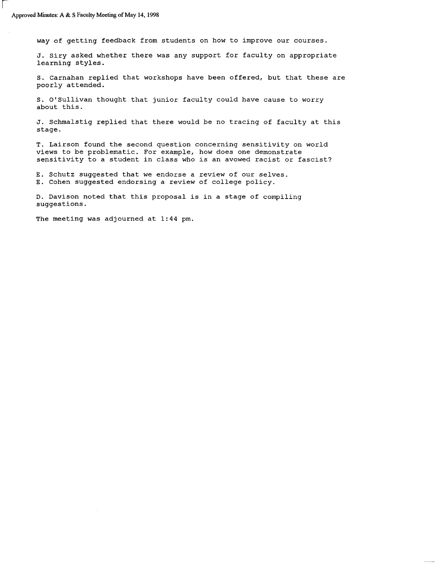i

way of getting feedback from students on how to improve our courses.

J. Siry asked whether there was any support for faculty on appropriate learning styles.

s. Carnahan replied that workshops have been offered, but that these are poorly attended.

s. O'Sullivan thought that junior faculty could have cause to worry about this.

J. Schmalstig replied that there would be no tracing of faculty at this stage.

T. Lairson found the second question concerning sensitivity on world views to be problematic. For example, how does one demonstrate sensitivity to a student in class who is an avowed racist or fascist?

E. Schutz suggested that we endorse a review of our selves. E. Cohen suggested endorsing a review of college policy.

D. Davison noted that this proposal is in a stage of compiling suggestions.

The meeting was adjourned at 1:44 pm.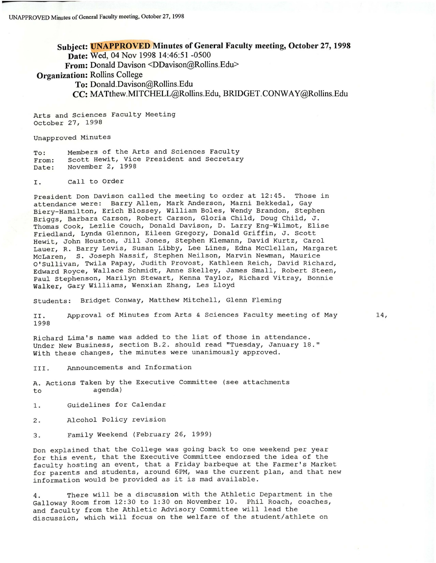Subject: **UNAPPROVED** Minutes of General Faculty meeting, October 27, 1998 **Date:** Wed, 04 Nov 1998 14:46:51 -0500 **From:** Donald Davison <DDavison@Rollins.Edu> **Organization:** Rollins College **To:** Donald.Davison@Rollins.Edu **CC:** MATthew.MITCHELL@Rollins.Edu, BRIDGET.CONW AY@Rollins.Edu

Arts and Sciences Faculty Meeting October 27, 1998

Unapproved Minutes

To: From: Date: Members of the Arts and Sciences Faculty Scott Hewit, Vice President and Secretary November 2, 1998

I. Call to Order

President Don Davison called the meeting to order at 12:45. Those *in*  attendance were: Barry Allen, Mark Anderson, Marni Bekkedal, Gay Biery-Hamilton, Erich Blossey, William Boles, Wendy Brandon, Stephen Briggs, Barbara Carson, Robert Carson, Gloria Child, Doug Child, J. Thomas Cook, Lezlie Couch, Donald Davison, D. Larry Eng-Wilmot, Elise Friedland, Lynda Glennon, Eileen Gregory, Donald Griffin, J. Scott Hewit, John Houston, Jill Jones, Stephen Klemann, David Kurtz, Carol Lauer, R. Barry Levis, Susan Libby, Lee Lines, Edna McClellan, Margaret McLaren, S. Joseph Nassif, Stephen Neilson, Marvin Newman, Maurice O'Sullivan, Twila Papay, Judith Provost, Kathleen Reich, David Richard, Edward Royce, Wallace Schmidt, Anne Skelley, James Small, Robert Steen, Paul Stephenson, Marilyn Stewart, Kenna Taylor, Richard Vitray, Bonnie Walker, Gary Williams, Wenxian Zhang, Les Lloyd

Students: Bridget Conway, Matthew Mitchell, Glenn Fleming

II. 1998 Approval of Minutes from Arts & Sciences Faculty meeting of May

Richard Lima's name was added to the list of those *in* attendance. Under New Business, section B.2. should read "Tuesday, January 18." With these changes, the minutes were unanimously approved.

III. Announcements and Information

A. Actions Taken by the Executive Committee (see attachments to agenda)

1. Guidelines for Calendar

2. Alcohol Policy revision

3. Family Weekend (February 26, 1999)

Don explained that the College was going back to one weekend per year for this event, that the Executive Committee endorsed the *idea* of the faculty hosting an event, that a Friday barbeque at the Farmer's Market for parents and students, around 6PM, was the current plan, and that new information would be provided as it *is* mad available.

4. There will be a discussion with the Athletic Department *in* the Galloway Room from 12:30 to 1:30 on November 10. Phil Roach, coaches, and faculty from the Athletic Advisory Committee will lead the discussion, which will focus on the welfare of the student/athlete on

14,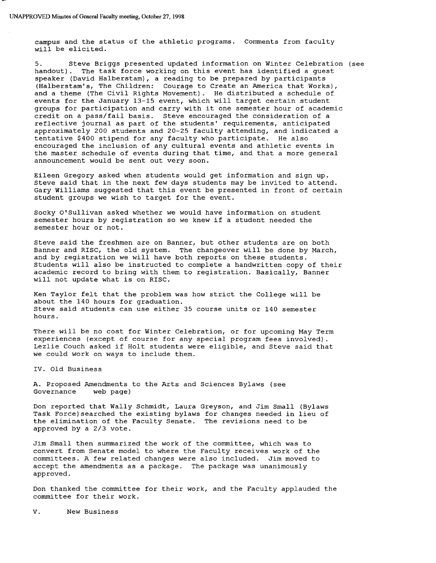campus and the status of the athletic programs. Comments from faculty will be elicited.

5. Steve Briggs presented updated information on Winter Celebration (see handout). The task force working on this event has identified a guest speaker (David Halberstam), a reading to be prepared by participants (Halberstam's, The Children: Courage to Create an America that Works), and a theme (The Civil Rights Movement). He distributed a schedule of events for the January 13-15 event, which will target certain student groups for participation and carry with it one semester hour of academic credit on a pass/fail basis. Steve encouraged the consideration of a reflective journal as part of the students' requirements, anticipated approximately 200 students and 20-25 faculty attending, and indicated a tentative \$400 stipend for any faculty who participate. He also encouraged the inclusion of any cultural events and athletic events in the master schedule of events during that time, and that a more general announcement would be sent out very soon.

Eileen Gregory asked when students would get information and sign up. Steve said that in the next few days students may be invited to attend. Gary Williams suggested that this event be presented in front of certain student groups we wish to target for the event.

Socky O'Sullivan asked whether we would have information on student semester hours by registration so we knew if a student needed the semester hour or not.

Steve said the freshmen are on Banner, but other students are on both Banner and RISC, the old system. The changeover will be done by March, and by registration we will have both reports on these students. Students will also be instructed to complete a handwritten copy of their academic record to bring with them to registration. Basically, Banner will not update what is on RISC.

Ken Taylor felt that the problem was how strict the College will be about the 140 hours for graduation. Steve said students can use either 35 course units or 140 semester hours.

There will be no cost for Winter Celebration, or for upcoming May Term experiences (except of course for any special program fees involved). Lezlie Couch asked if Holt students were eligible, and Steve said that we could work on ways to include them.

IV. Old Business

A. Proposed Amendments to the Arts and Sciences Bylaws (see Governance

Don reported that Wally Schmidt, Laura Greyson, and Jim Small (Bylaws Task Force) searched the existing bylaws for changes needed in lieu of the elimination of the Faculty Senate. The revisions need to be approved by a 2/3 vote.

Jim Small then summarized the work of the committee, which was to convert from Senate model to where the Faculty receives work of the committees. A few related changes were also included. Jim moved to accept the amendments as a package. The package was unanimously approved.

Don thanked the committee for their work, and the Faculty applauded the committee for their work.

V. New Business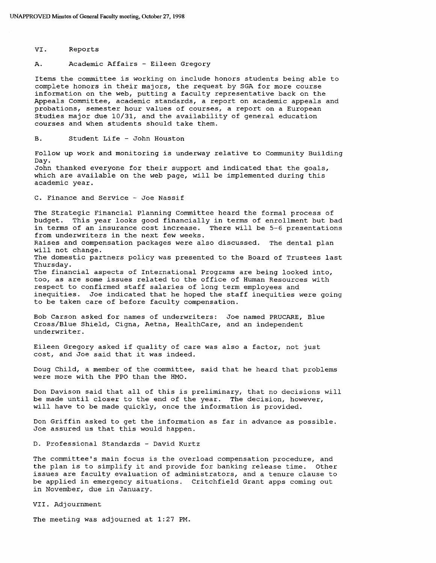VI. Reports

academic year.

A. Academic Affairs - Eileen Gregory

Items the committee is working on include honors students being able to complete honors in their majors, the request by SGA for more course information on the web, putting a faculty representative back on the Appeals Committee, academic standards, a report on academic appeals and probations, semester hour values of courses, a report on a European studies major due 10/31, and the availability of general education courses and when students should take them.

B. Student Life - John Houston

Follow up work and monitoring is underway relative to Community Building Day. John thanked everyone for their support and indicated that the goals, which are available on the web page, will be implemented during this

C. Finance and Service - Joe Nassif

The Strategic Financial Planning Committee heard the formal process of budget. This year looks good financially in terms of enrollment but bad in terms of an insurance cost increase. There will be 5-6 presentations from underwriters in the next few weeks. Raises and compensation packages were also discussed. The dental plan will not change. The domestic partners policy was presented to the Board of Trustees last Thursday. The financial aspects of International Programs are being looked into, too, as are some issues related to the office of Human Resources with respect to confirmed staff salaries of long term employees and inequities. Joe indicated that he hoped the staff inequities were going to be taken care of before faculty compensation.

Bob Carson asked for names of underwriters: Joe named PRUCARE, Blue Cross/Blue Shield, Cigna, Aetna, HealthCare, and an independent underwriter.

Eileen Gregory asked if quality of care was also a factor, not just cost, and Joe said that it was indeed.

Doug Child, a member of the committee, said that he heard that problems were more with the FPO than the HMO.

Don Davison said that all of this is preliminary, that no decisions will be made until closer to the end of the year. The decision, however, will have to be made quickly, once the information is provided.

Don Griffin asked to get the information as far in advance as possible. Joe assured us that this would happen.

D. Professional Standards - David Kurtz

The committee's main focus is the overload compensation procedure, and the plan is to simplify it and provide for banking release time. Other issues are faculty evaluation of administrators, and a tenure clause to be applied in emergency situations. Critchfield Grant apps coming out in November, due in January.

VII. Adjournment

The meeting was adjourned at 1:27 PM.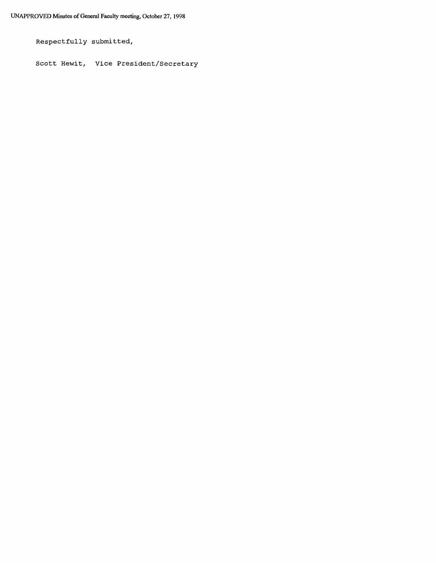Respectfully submitted,

Scott Hewit, Vice President/Secretary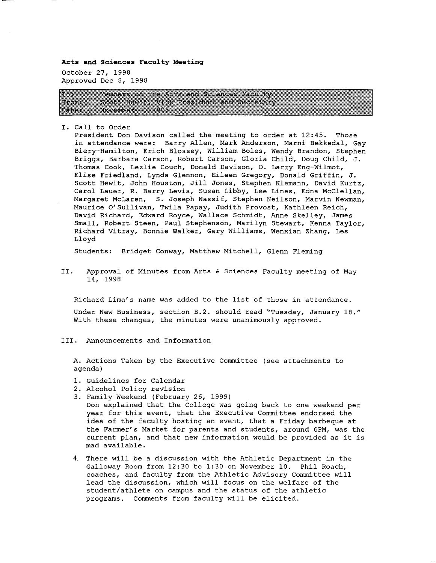**Arts and Sciences Faculty Meeting** 

October 27, 1998 Approved Dec 8, 1998

28. Members of the Arts and Sciences Paculty Scott Hewit (Alce President and Secretary man k November 2, 1998 bat di

I. Call to Order

President Don Davison called the meeting to order at 12:45. Those in attendance were: Barry Allen, Mark Anderson, Marni Bekkedal, Gay Biery-Hamilton, Erich Blossey, William Boles, Wendy Brandon, Stephen Briggs, Barbara Carson, Robert Carson, Gloria Child, Doug Child, J. Thomas Cook, Lezlie Couch, Donald Davison, D. Larry Eng-Wilmot, Elise Friedland, Lynda Glennon, Eileen Gregory, Donald Griffin, J. Scott Hewit, John Houston, Jill Jones, Stephen Klemann, David Kurtz, Carol Lauer, R. Barry Levis, Susan Libby, Lee Lines, Edna McClellan, Margaret McLaren, S. Joseph Nassif, Stephen Neilson, Marvin Newman, Maurice O'Sullivan, Twila Papay, Judith Provost, Kathleen Reich, David Richard, Edward Royce, Wallace Schmidt, Anne Skelley, James Small, Robert Steen, Paul Stephenson, Marilyn Stewart, Kenna Taylor, Richard Vitray, Bonnie Walker, Gary Williams, Wenxian Zhang, Les Lloyd

Students: Bridget Conway, Matthew Mitchell, Glenn Fleming

II. Approval of Minutes from Arts & Sciences Faculty meeting of May 14, 1998

Richard Lima's name was added to the list of those in attendance. Under New Business, section B.2. should read "Tuesday, January 18." With these changes, the minutes were unanimously approved.

III. Announcements and Information

A. Actions Taken by the Executive Committee (see attachments to agenda)

- 1. Guidelines for Calendar
- 2. Alcohol Policy revision
- 3. Family Weekend (February 26, 1999)
- Don explained that the College was going back to one weekend per year for this event, that the Executive Committee endorsed the idea of the faculty hosting an event, that a Friday barbeque at the Farmer's Market for parents and students, around 6PM, was the current plan, and that new information would be provided as it is mad available.
- 4. There will be a discussion with the Athletic Department in the Galloway Room from 12:30 to 1:30 on November 10. Phil Roach, coaches, and faculty from the Athletic Advisory Committee will lead the discussion, which will focus on the welfare of the student/athlete on campus and the status of the athletic programs. Comments from faculty will be elicited.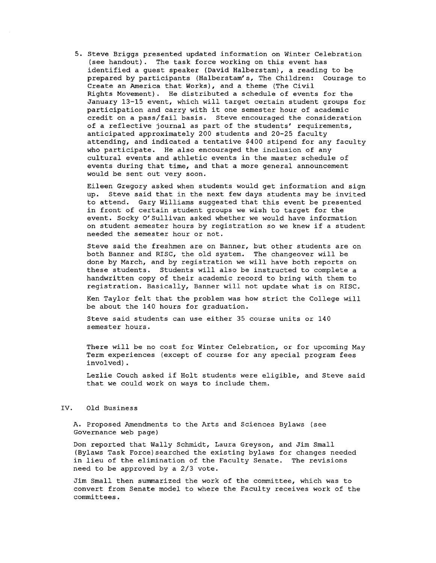5. Steve Briggs presented updated information on Winter Celebration (see handout). The task force working on this event has identified a guest speaker (David Halberstam), a reading to be prepared by participants (Halberstam's, The Children: Courage to Create an America that Works), and a theme (The Civil Rights Movement). He distributed a schedule of events for the January 13-15 event, which will target certain student groups for participation and carry with it one semester hour of academic credit on a pass/fail basis. Steve encouraged the consideration of a reflective journal as part of the students' requirements, anticipated approximately 200 students and 20-25 faculty attending, and indicated a tentative \$400 stipend for any faculty who participate. He also encouraged the inclusion of any cultural events and athletic events *in* the master schedule of events during that time, and that a more general announcement would be sent out very soon.

Eileen Gregory asked when students would get information and sign up. Steve said that *in* the next few days students may be invited to attend. Gary Williams suggested that this event be presented *in* front of certain student groups we wish to target for the event. Socky O'Sullivan asked whether we would have information on student semester hours by registration so we knew if a student needed the semester hour or not.

Steve said the freshmen are on Banner, but other students are on both Banner and RISC, the old system. The changeover will be done by March, and by registration we will have both reports on these students. Students will also be instructed to complete a handwritten copy of their academic record to bring with them to registration. Basically, Banner will not update what is on RISC.

Ken Taylor felt that the problem was how strict the College will be about the 140 hours for graduation.

Steve said students can use either 35 course units or 140 semester hours.

There will be no cost for Winter Celebration, or for upcoming May Term experiences (except of course for any special program fees involved).

Lezlie Couch asked if Holt students were eligible, and Steve said that we could work on ways to include them.

#### IV. Old Business

A. Proposed Amendments to the Arts and Sciences Bylaws (see Governance web page)

Don reported that Wally Schmidt, Laura Greyson, and Jim Small (Bylaws Task Force)searched the existing bylaws for changes needed *in* lieu of the elimination of the Faculty Senate. The revisions need to be approved by a 2/3 vote.

Jim Small then summarized the work of the committee, which was to convert from Senate model to where the Faculty receives work of the committees.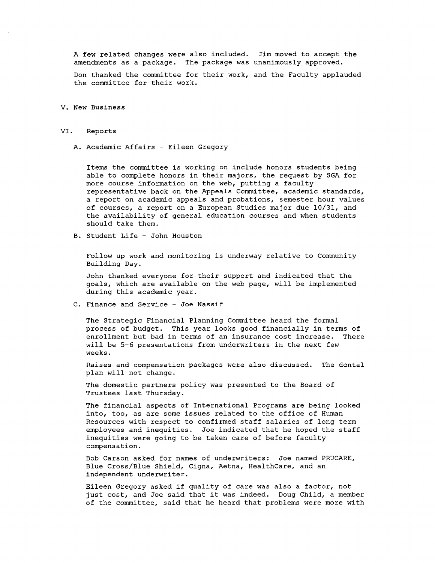A few related changes were also included. Jim moved to accept the amendments as a package. The package was unanimously approved.

Don thanked the committee for their work, and the Faculty applauded the committee for their work.

**V. New** Business

#### VI. Reports

A. Academic Affairs - Eileen Gregory

Items the committee is working on include honors students being able to complete honors in their majors, the request by SGA for more course information on the web, putting a faculty representative back on the Appeals Committee, academic standards, a report on academic appeals and probations, semester hour values of courses, a report on a European Studies major due 10/31, and the availability of general education courses and when students should take them.

B. Student Life - John Houston

Follow up work and monitoring is underway relative to Community Building Day.

John thanked everyone for their support and indicated that the goals, which are available on the web page, will be implemented during this academic year.

C. Finance and Service - Joe Nassif

The Strategic Financial Planning Committee heard the formal process of budget. This year looks good financially in terms of enrollment but bad in terms of an insurance cost increase. There will be 5-6 presentations from underwriters in the next few weeks.

Raises and compensation packages were also discussed. The dental plan will not change.

The domestic partners policy was presented to the Board of Trustees last Thursday.

The financial aspects of International Programs are being looked into, too, as are some issues related to the office of Human Resources with respect to confirmed staff salaries of long term employees and inequities. Joe indicated that he hoped the staff inequities were going to be taken care of before faculty compensation.

Bob Carson asked for names of underwriters: Joe named PRUCARE, Blue Cross/Blue Shield, Cigna, Aetna, HealthCare, and an independent underwriter.

Eileen Gregory asked if quality of care was also a factor, not just cost, and Joe said that it was indeed. Doug Child, a member of the committee, said that he heard that problems were more with